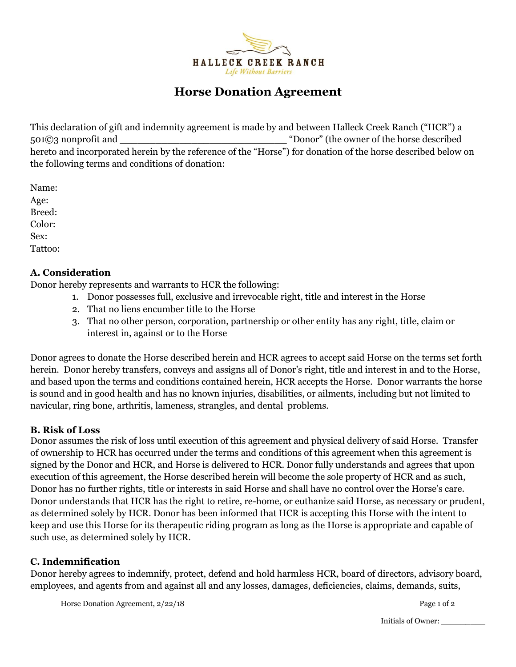

# **Horse Donation Agreement**

This declaration of gift and indemnity agreement is made by and between Halleck Creek Ranch ("HCR") a 501©3 nonprofit and  $\Box$  "Donor" (the owner of the horse described hereto and incorporated herein by the reference of the "Horse") for donation of the horse described below on the following terms and conditions of donation:

Name: Age: Breed: Color: Sex: Tattoo:

#### **A. Consideration**

Donor hereby represents and warrants to HCR the following:

- 1. Donor possesses full, exclusive and irrevocable right, title and interest in the Horse
- 2. That no liens encumber title to the Horse
- 3. That no other person, corporation, partnership or other entity has any right, title, claim or interest in, against or to the Horse

Donor agrees to donate the Horse described herein and HCR agrees to accept said Horse on the terms set forth herein. Donor hereby transfers, conveys and assigns all of Donor's right, title and interest in and to the Horse, and based upon the terms and conditions contained herein, HCR accepts the Horse. Donor warrants the horse is sound and in good health and has no known injuries, disabilities, or ailments, including but not limited to navicular, ring bone, arthritis, lameness, strangles, and dental problems.

#### **B. Risk of Loss**

Donor assumes the risk of loss until execution of this agreement and physical delivery of said Horse. Transfer of ownership to HCR has occurred under the terms and conditions of this agreement when this agreement is signed by the Donor and HCR, and Horse is delivered to HCR. Donor fully understands and agrees that upon execution of this agreement, the Horse described herein will become the sole property of HCR and as such, Donor has no further rights, title or interests in said Horse and shall have no control over the Horse's care. Donor understands that HCR has the right to retire, re-home, or euthanize said Horse, as necessary or prudent, as determined solely by HCR. Donor has been informed that HCR is accepting this Horse with the intent to keep and use this Horse for its therapeutic riding program as long as the Horse is appropriate and capable of such use, as determined solely by HCR.

# **C. Indemnification**

Donor hereby agrees to indemnify, protect, defend and hold harmless HCR, board of directors, advisory board, employees, and agents from and against all and any losses, damages, deficiencies, claims, demands, suits,

Horse Donation Agreement,  $2/22/18$  Page 1 of 2

Initials of Owner: \_\_\_\_\_\_\_\_\_